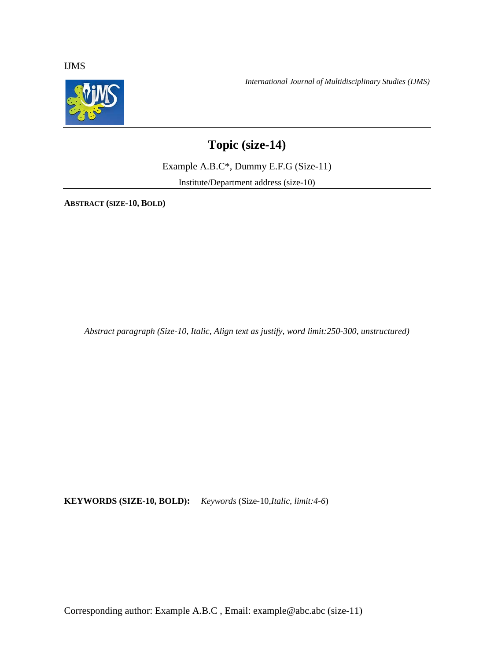IJMS



*International Journal of Multidisciplinary Studies (IJMS)*

# **Topic (size-14)**

Example A.B.C\*, Dummy E.F.G (Size-11)

Institute/Department address (size-10)

**ABSTRACT (SIZE-10, BOLD)**

*Abstract paragraph (Size-10, Italic, Align text as justify, word limit:250-300, unstructured)*

**KEYWORDS (SIZE-10, BOLD):** *Keywords* (Size-10,*Italic, limit:4-6*)

Corresponding author: Example A.B.C , Email: example@abc.abc (size-11)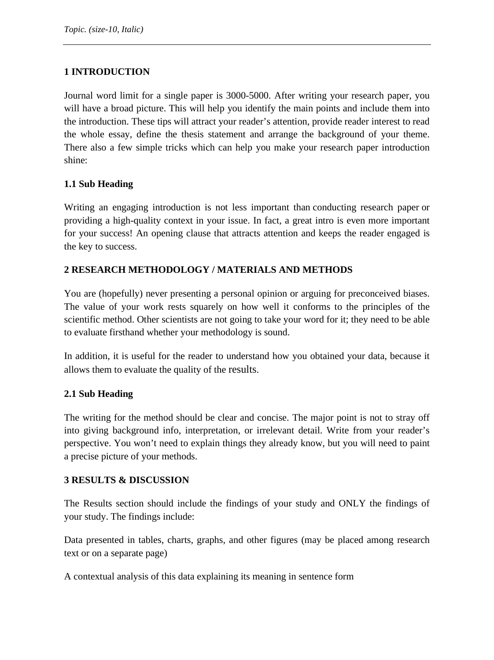# **1 INTRODUCTION**

Journal word limit for a single paper is 3000-5000. After writing your research paper, you will have a broad picture. This will help you identify the main points and include them into the introduction. These tips will attract your reader's attention, provide reader interest to read the whole essay, define the thesis statement and arrange the background of your theme. There also a few simple tricks which can help you make your research paper introduction shine:

# **1.1 Sub Heading**

Writing an engaging introduction is not less important than [conducting research paper](https://papersowl.com/blog/conclusion-for-a-research-paper) or providing a high-quality context in your issue. In fact, a great intro is even more important for your success! An opening clause that attracts attention and keeps the reader engaged is the key to success.

# **2 RESEARCH METHODOLOGY / MATERIALS AND METHODS**

You are (hopefully) never presenting a personal opinion or arguing for preconceived biases. The value of your work rests squarely on how well it conforms to the principles of the scientific method. Other scientists are not going to take your word for it; they need to be able to evaluate firsthand whether your methodology is sound.

In addition, it is useful for the reader to understand how you obtained your data, because it allows them to evaluate the quality of the [results.](https://explorable.com/writing-a-results-section)

## **2.1 Sub Heading**

The writing for the method should be clear and concise. The major point is not to stray off into giving background info, interpretation, or irrelevant detail. Write from your reader's perspective. You won't need to explain things they already know, but you will need to paint a precise picture of your methods.

## **3 RESULTS & DISCUSSION**

The Results section should include the findings of your study and ONLY the findings of your study. The findings include:

Data presented in tables, charts, graphs, and other figures (may be placed among research text or on a separate page)

A contextual analysis of this data explaining its meaning in sentence form